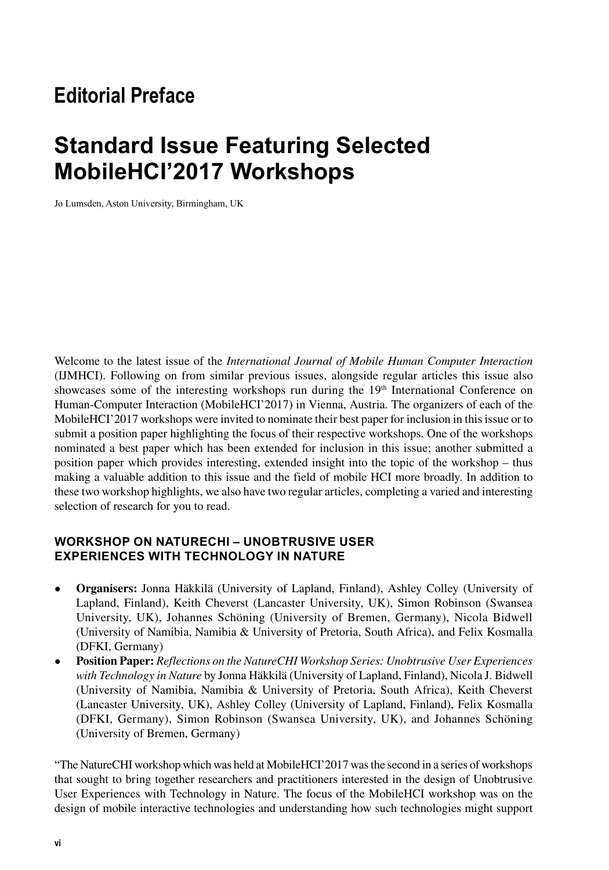## **Editorial Preface**

## **Standard Issue Featuring Selected MobileHCI'2017 Workshops**

Jo Lumsden, Aston University, Birmingham, UK

Welcome to the latest issue of the *International Journal of Mobile Human Computer Interaction* (IJMHCI). Following on from similar previous issues, alongside regular articles this issue also showcases some of the interesting workshops run during the  $19<sup>th</sup>$  International Conference on Human-Computer Interaction (MobileHCI'2017) in Vienna, Austria. The organizers of each of the MobileHCI'2017 workshops were invited to nominate their best paper for inclusion in this issue or to submit a position paper highlighting the focus of their respective workshops. One of the workshops nominated a best paper which has been extended for inclusion in this issue; another submitted a position paper which provides interesting, extended insight into the topic of the workshop – thus making a valuable addition to this issue and the field of mobile HCI more broadly. In addition to these two workshop highlights, we also have two regular articles, completing a varied and interesting selection of research for you to read.

### **WORKSHOP ON NATURECHI – UNOBTRUSIVE USER EXPERIENCES WITH TECHNOLOGY IN NATURE**

- **Organisers:** Jonna Häkkilä (University of Lapland, Finland), Ashley Colley (University of Lapland, Finland), Keith Cheverst (Lancaster University, UK), Simon Robinson (Swansea University, UK), Johannes Schöning (University of Bremen, Germany), Nicola Bidwell (University of Namibia, Namibia & University of Pretoria, South Africa), and Felix Kosmalla (DFKI, Germany)
- **Position Paper:** *Reflections on the NatureCHI Workshop Series: Unobtrusive User Experiences with Technology in Nature* by Jonna Häkkilä (University of Lapland, Finland), Nicola J. Bidwell (University of Namibia, Namibia & University of Pretoria, South Africa), Keith Cheverst (Lancaster University, UK), Ashley Colley (University of Lapland, Finland), Felix Kosmalla (DFKI, Germany), Simon Robinson (Swansea University, UK), and Johannes Schöning (University of Bremen, Germany)

"The NatureCHI workshop which was held at MobileHCI'2017 was the second in a series of workshops that sought to bring together researchers and practitioners interested in the design of Unobtrusive User Experiences with Technology in Nature. The focus of the MobileHCI workshop was on the design of mobile interactive technologies and understanding how such technologies might support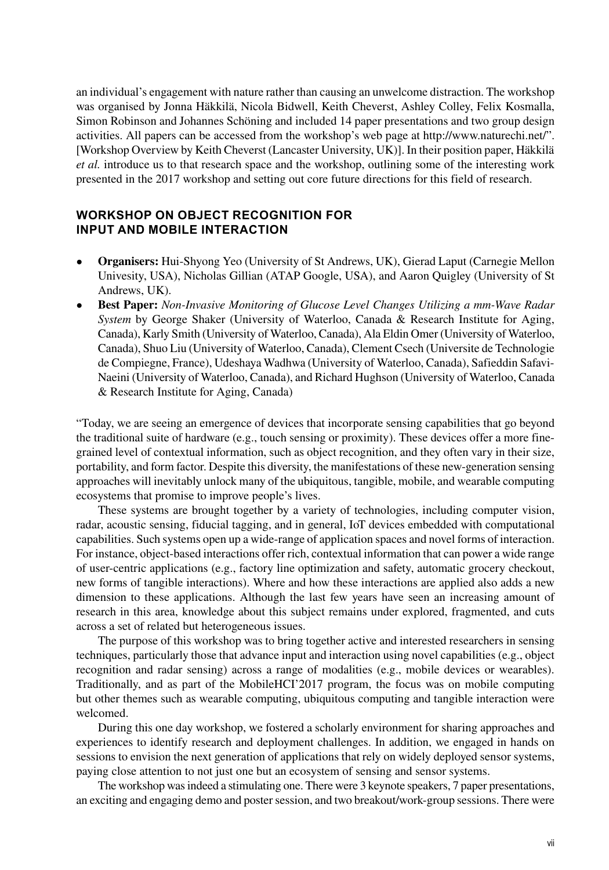an individual's engagement with nature rather than causing an unwelcome distraction. The workshop was organised by Jonna Häkkilä, Nicola Bidwell, Keith Cheverst, Ashley Colley, Felix Kosmalla, Simon Robinson and Johannes Schöning and included 14 paper presentations and two group design activities. All papers can be accessed from the workshop's web page at http://www.naturechi.net/". [Workshop Overview by Keith Cheverst (Lancaster University, UK)]. In their position paper, Häkkilä *et al.* introduce us to that research space and the workshop, outlining some of the interesting work presented in the 2017 workshop and setting out core future directions for this field of research.

#### **WORKSHOP ON OBJECT RECOGNITION FOR INPUT AND MOBILE INTERACTION**

- **Organisers:** Hui-Shyong Yeo (University of St Andrews, UK), Gierad Laput (Carnegie Mellon Univesity, USA), Nicholas Gillian (ATAP Google, USA), and Aaron Quigley (University of St Andrews, UK).
- **Best Paper:** *Non-Invasive Monitoring of Glucose Level Changes Utilizing a mm-Wave Radar System* by George Shaker (University of Waterloo, Canada & Research Institute for Aging, Canada), Karly Smith (University of Waterloo, Canada), Ala Eldin Omer (University of Waterloo, Canada), Shuo Liu (University of Waterloo, Canada), Clement Csech (Universite de Technologie de Compiegne, France), Udeshaya Wadhwa (University of Waterloo, Canada), Safieddin Safavi-Naeini (University of Waterloo, Canada), and Richard Hughson (University of Waterloo, Canada & Research Institute for Aging, Canada)

"Today, we are seeing an emergence of devices that incorporate sensing capabilities that go beyond the traditional suite of hardware (e.g., touch sensing or proximity). These devices offer a more finegrained level of contextual information, such as object recognition, and they often vary in their size, portability, and form factor. Despite this diversity, the manifestations of these new-generation sensing approaches will inevitably unlock many of the ubiquitous, tangible, mobile, and wearable computing ecosystems that promise to improve people's lives.

These systems are brought together by a variety of technologies, including computer vision, radar, acoustic sensing, fiducial tagging, and in general, IoT devices embedded with computational capabilities. Such systems open up a wide-range of application spaces and novel forms of interaction. For instance, object-based interactions offer rich, contextual information that can power a wide range of user-centric applications (e.g., factory line optimization and safety, automatic grocery checkout, new forms of tangible interactions). Where and how these interactions are applied also adds a new dimension to these applications. Although the last few years have seen an increasing amount of research in this area, knowledge about this subject remains under explored, fragmented, and cuts across a set of related but heterogeneous issues.

The purpose of this workshop was to bring together active and interested researchers in sensing techniques, particularly those that advance input and interaction using novel capabilities (e.g., object recognition and radar sensing) across a range of modalities (e.g., mobile devices or wearables). Traditionally, and as part of the MobileHCI'2017 program, the focus was on mobile computing but other themes such as wearable computing, ubiquitous computing and tangible interaction were welcomed.

During this one day workshop, we fostered a scholarly environment for sharing approaches and experiences to identify research and deployment challenges. In addition, we engaged in hands on sessions to envision the next generation of applications that rely on widely deployed sensor systems, paying close attention to not just one but an ecosystem of sensing and sensor systems.

The workshop was indeed a stimulating one. There were 3 keynote speakers, 7 paper presentations, an exciting and engaging demo and poster session, and two breakout/work-group sessions. There were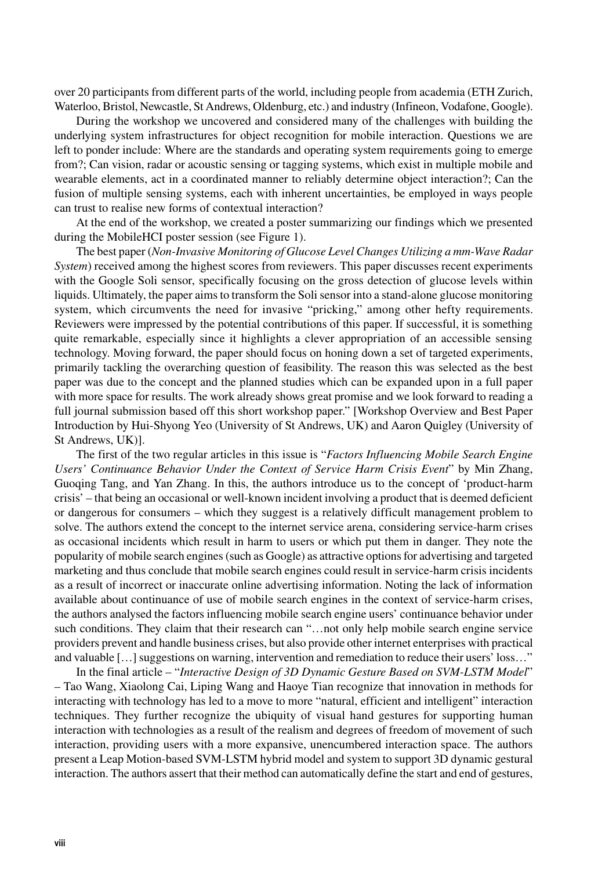over 20 participants from different parts of the world, including people from academia (ETH Zurich, Waterloo, Bristol, Newcastle, St Andrews, Oldenburg, etc.) and industry (Infineon, Vodafone, Google).

During the workshop we uncovered and considered many of the challenges with building the underlying system infrastructures for object recognition for mobile interaction. Questions we are left to ponder include: Where are the standards and operating system requirements going to emerge from?; Can vision, radar or acoustic sensing or tagging systems, which exist in multiple mobile and wearable elements, act in a coordinated manner to reliably determine object interaction?; Can the fusion of multiple sensing systems, each with inherent uncertainties, be employed in ways people can trust to realise new forms of contextual interaction?

At the end of the workshop, we created a poster summarizing our findings which we presented during the MobileHCI poster session (see Figure 1).

The best paper (*Non-Invasive Monitoring of Glucose Level Changes Utilizing a mm-Wave Radar System*) received among the highest scores from reviewers. This paper discusses recent experiments with the Google Soli sensor, specifically focusing on the gross detection of glucose levels within liquids. Ultimately, the paper aims to transform the Soli sensor into a stand-alone glucose monitoring system, which circumvents the need for invasive "pricking," among other hefty requirements. Reviewers were impressed by the potential contributions of this paper. If successful, it is something quite remarkable, especially since it highlights a clever appropriation of an accessible sensing technology. Moving forward, the paper should focus on honing down a set of targeted experiments, primarily tackling the overarching question of feasibility. The reason this was selected as the best paper was due to the concept and the planned studies which can be expanded upon in a full paper with more space for results. The work already shows great promise and we look forward to reading a full journal submission based off this short workshop paper." [Workshop Overview and Best Paper Introduction by Hui-Shyong Yeo (University of St Andrews, UK) and Aaron Quigley (University of St Andrews, UK)].

The first of the two regular articles in this issue is "*Factors Influencing Mobile Search Engine Users' Continuance Behavior Under the Context of Service Harm Crisis Event*" by Min Zhang, Guoqing Tang, and Yan Zhang. In this, the authors introduce us to the concept of 'product-harm crisis' – that being an occasional or well-known incident involving a product that is deemed deficient or dangerous for consumers – which they suggest is a relatively difficult management problem to solve. The authors extend the concept to the internet service arena, considering service-harm crises as occasional incidents which result in harm to users or which put them in danger. They note the popularity of mobile search engines (such as Google) as attractive options for advertising and targeted marketing and thus conclude that mobile search engines could result in service-harm crisis incidents as a result of incorrect or inaccurate online advertising information. Noting the lack of information available about continuance of use of mobile search engines in the context of service-harm crises, the authors analysed the factors influencing mobile search engine users' continuance behavior under such conditions. They claim that their research can "...not only help mobile search engine service providers prevent and handle business crises, but also provide other internet enterprises with practical and valuable […] suggestions on warning, intervention and remediation to reduce their users' loss…"

In the final article – "*Interactive Design of 3D Dynamic Gesture Based on SVM-LSTM Model*" – Tao Wang, Xiaolong Cai, Liping Wang and Haoye Tian recognize that innovation in methods for interacting with technology has led to a move to more "natural, efficient and intelligent" interaction techniques. They further recognize the ubiquity of visual hand gestures for supporting human interaction with technologies as a result of the realism and degrees of freedom of movement of such interaction, providing users with a more expansive, unencumbered interaction space. The authors present a Leap Motion-based SVM-LSTM hybrid model and system to support 3D dynamic gestural interaction. The authors assert that their method can automatically define the start and end of gestures,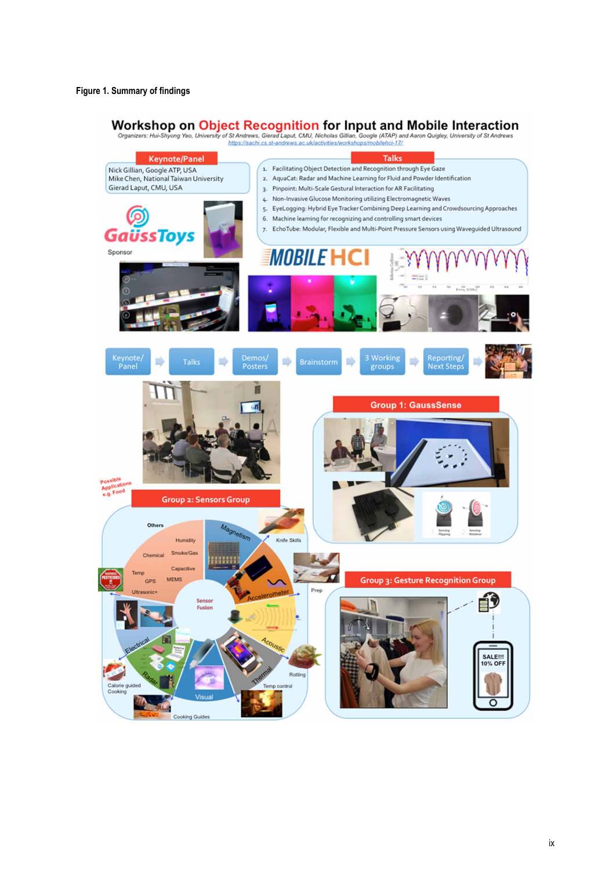# Workshop on Object Recognition for Input and Mobile Interaction<br>Organizers: Hui-Shyong Yeo, University of St Andrews, Gieral Laput, CMU, Nicholas Gillian, Google (ATAP) and Aaron Quigley, University of St Andrews<br>https://s

**Talks Keynote/Panel** Nick Gillian, Google ATP, USA<br>Mike Chen, National Taiwan University 1. Facilitating Object Detection and Recognition through Eye Gaze 2. AquaCat: Radar and Machine Learning for Fluid and Powder Identification Gierad Laput, CMU, USA 3. Pinpoint: Multi-Scale Gestural Interaction for AR Facilitating 4. Non-Invasive Glucose Monitoring utilizing Electromagnetic Waves 5. EyeLogging: Hybrid Eye Tracker Combining Deep Learning and Crowdsourcing Approaches 6. Machine learning for recognizing and controlling smart devices 7. EchoTube: Modular, Flexible and Multi-Point Pressure Sensors using Waveguided Ultrasound **GaüssToys** Sponsor **MOBILE H** Keynote/<br>Panel Demos/<br>Posters 3 Working Reporting/<br>Next Steps  $\Rightarrow$ ₿ D Ð ۰ groups **Group 1: GaussSense Group 2: Sensors Group** Others etism Knife Skills Humidity Smoke/Gas Chemical **HIIHII** Capacitive **Group 3: Gesture Recognition Group MEMS** GPS ñ Fusion **SALE!!!** 0% OF Rotting Calorie<br>Cookin  $\overline{\circ}$ ng Gr